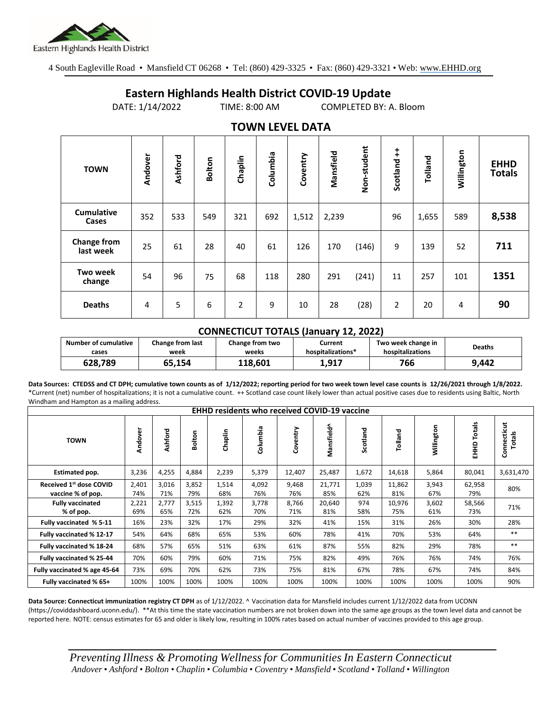

4 South Eagleville Road • Mansfield CT 06268 • Tel: (860) 429-3325 • Fax: (860) 429-3321 • Web: www.EHHD.org

## **Eastern Highlands Health District COVID-19 Update**

DATE: 1/14/2022 TIME: 8:00 AM COMPLETED BY: A. Bloom

| $19.111$ is the set of $17$     |         |         |        |                |          |          |           |             |                        |         |            |                              |
|---------------------------------|---------|---------|--------|----------------|----------|----------|-----------|-------------|------------------------|---------|------------|------------------------------|
| <b>TOWN</b>                     | Andover | Ashford | Bolton | Chaplin        | Columbia | Coventry | Mansfield | Non-student | $\ddagger$<br>Scotland | Tolland | Willington | <b>EHHD</b><br><b>Totals</b> |
| <b>Cumulative</b><br>Cases      | 352     | 533     | 549    | 321            | 692      | 1,512    | 2,239     |             | 96                     | 1,655   | 589        | 8,538                        |
| <b>Change from</b><br>last week | 25      | 61      | 28     | 40             | 61       | 126      | 170       | (146)       | 9                      | 139     | 52         | 711                          |
| <b>Two week</b><br>change       | 54      | 96      | 75     | 68             | 118      | 280      | 291       | (241)       | 11                     | 257     | 101        | 1351                         |
| <b>Deaths</b>                   | 4       | 5       | 6      | $\overline{2}$ | 9        | 10       | 28        | (28)        | $\overline{2}$         | 20      | 4          | 90                           |

## **TOWN LEVEL DATA**

## **CONNECTICUT TOTALS (January 12, 2022)**

| <b>Number of cumulative</b> | <b>Change from last</b> | Change from two | Current           | Two week change in | <b>Deaths</b> |
|-----------------------------|-------------------------|-----------------|-------------------|--------------------|---------------|
| cases                       | week                    | weeks           | hospitalizations* | hospitalizations   |               |
| 628.789                     | 65.154                  | 118.601         | 1.917             | 766                | 9.442         |

**Data Sources: CTEDSS and CT DPH; cumulative town counts as of 1/12/2022; reporting period for two week town level case counts is 12/26/2021 through 1/8/2022.** \*Current (net) number of hospitalizations; it is not a cumulative count. ++ Scotland case count likely lower than actual positive cases due to residents using Baltic, North Windham and Hampton as a mailing address.

| <b>EHHD residents who received COVID-19 vaccine</b> |              |              |              |              |              |              |               |              |               |              |                  |                       |
|-----------------------------------------------------|--------------|--------------|--------------|--------------|--------------|--------------|---------------|--------------|---------------|--------------|------------------|-----------------------|
| <b>TOWN</b>                                         | Andover      | Ashford      | Bolton       | Chaplin      | Columbia     | Coventry     | Mansfield^    | Scotland     | Tolland       | Willington   | Totals<br>요<br>표 | Connecticut<br>Totals |
| Estimated pop.                                      | 3,236        | 4,255        | 4,884        | 2,239        | 5,379        | 12,407       | 25,487        | 1,672        | 14,618        | 5,864        | 80,041           | 3,631,470             |
| Received 1st dose COVID<br>vaccine % of pop.        | 2,401<br>74% | 3,016<br>71% | 3,852<br>79% | 1,514<br>68% | 4,092<br>76% | 9,468<br>76% | 21,771<br>85% | 1,039<br>62% | 11,862<br>81% | 3,943<br>67% | 62,958<br>79%    | 80%                   |
| <b>Fully vaccinated</b><br>% of pop.                | 2,221<br>69% | 2,777<br>65% | 3,515<br>72% | 1,392<br>62% | 3,778<br>70% | 8,766<br>71% | 20,640<br>81% | 974<br>58%   | 10,976<br>75% | 3,602<br>61% | 58,566<br>73%    | 71%                   |
| Fully vaccinated % 5-11                             | 16%          | 23%          | 32%          | 17%          | 29%          | 32%          | 41%           | 15%          | 31%           | 26%          | 30%              | 28%                   |
| Fully vaccinated % 12-17                            | 54%          | 64%          | 68%          | 65%          | 53%          | 60%          | 78%           | 41%          | 70%           | 53%          | 64%              | $***$                 |
| Fully vaccinated % 18-24                            | 68%          | 57%          | 65%          | 51%          | 63%          | 61%          | 87%           | 55%          | 82%           | 29%          | 78%              | $***$                 |
| Fully vaccinated % 25-44                            | 70%          | 60%          | 79%          | 60%          | 71%          | 75%          | 82%           | 49%          | 76%           | 76%          | 74%              | 76%                   |
| Fully vaccinated % age 45-64                        | 73%          | 69%          | 70%          | 62%          | 73%          | 75%          | 81%           | 67%          | 78%           | 67%          | 74%              | 84%                   |
| Fully vaccinated % 65+                              | 100%         | 100%         | 100%         | 100%         | 100%         | 100%         | 100%          | 100%         | 100%          | 100%         | 100%             | 90%                   |

**Data Source: Connecticut immunization registry CT DPH** as of 1/12/2022. ^ Vaccination data for Mansfield includes current 1/12/2022 data from UCONN (https://coviddashboard.uconn.edu/). \*\*At this time the state vaccination numbers are not broken down into the same age groups as the town level data and cannot be reported here. NOTE: census estimates for 65 and older is likely low, resulting in 100% rates based on actual number of vaccines provided to this age group.

*Preventing Illness & Promoting Wellnessfor Communities In Eastern Connecticut* Andover • Ashford • Bolton • Chaplin • Columbia • Coventry • Mansfield • Scotland • Tolland • Willington